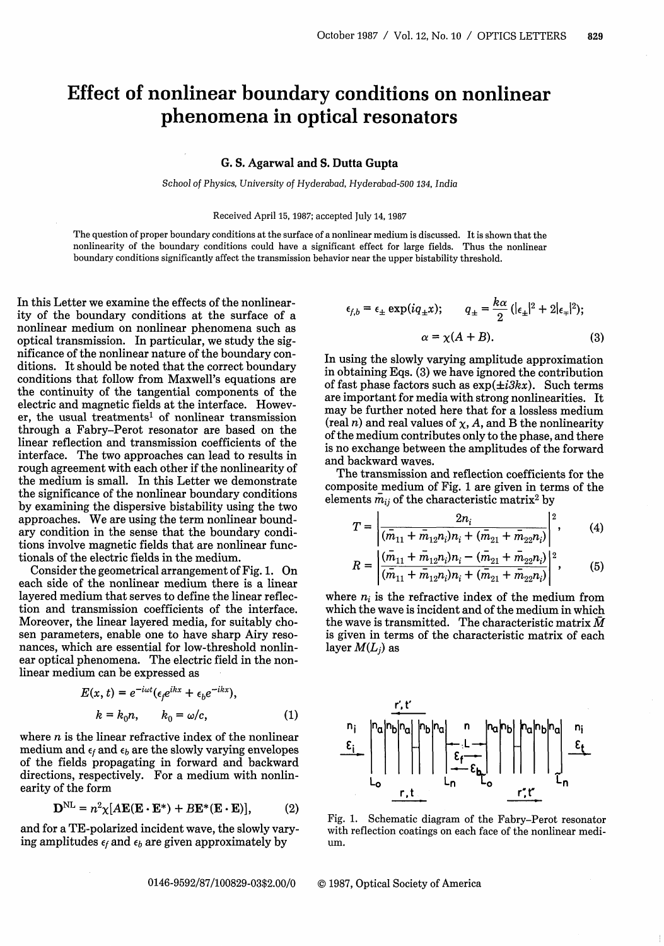## Effect of nonlinear boundary conditions on nonlinear phenomena in optical resonators

## G. S. **Agarwal and S. Dutta Gupta**

*School of Physics, University of Hyderabad, Hyderabad-500 134, India*

Received April 15, 1987; accepted July 14, 1987

The question of proper boundary conditions at the surface of a nonlinear medium is discussed. It is shown that the nonlinearity of the boundary conditions could have a significant effect for large fields. Thus the nonlinear boundary conditions significantly affect the transmission behavior near the upper bistability threshold.

In this Letter we examine the effects of the nonlinearity of the boundary conditions at the surface of a nonlinear medium on nonlinear phenomena such as optical transmission. In particular, we study the significance of the nonlinear nature of the boundary conditions. It should be noted that the correct boundary conditions that follow from Maxwell's equations are the continuity of the tangential components of the electric and magnetic fields at the interface. However, the usual treatments' of nonlinear transmission through a Fabry-Perot resonator are based on the linear reflection and transmission coefficients of the interface. The two approaches can lead to results in rough agreement with each other if the nonlinearity of the medium is small. In this Letter we demonstrate the significance of the nonlinear boundary conditions by examining the dispersive bistability using the two approaches. We are using the term nonlinear boundary condition in the sense that the boundary conditions involve magnetic fields that are nonlinear functionals of the electric fields in the medium.

Consider the geometrical arrangement of Fig. 1. On each side of the nonlinear medium there is a linear layered medium that serves to define the linear reflection and transmission coefficients of the interface. Moreover, the linear layered media, for suitably chosen parameters, enable one to have sharp Airy resonances, which are essential for low-threshold nonlinear optical phenomena. The electric field in the nonlinear medium can be expressed as

$$
E(x, t) = e^{-i\omega t} (\epsilon_f e^{ikx} + \epsilon_b e^{-ikx}),
$$
  
\n
$$
k = k_0 n, \qquad k_0 = \omega/c,
$$
 (1)

where *n* is the linear refractive index of the nonlinear medium and  $\epsilon_f$  and  $\epsilon_b$  are the slowly varying envelopes of the fields propagating in forward and backward directions, respectively. For a medium with nonlinearity of the form

$$
\mathbf{D}^{\mathrm{NL}} = n^2 \chi [A \mathbf{E} (\mathbf{E} \cdot \mathbf{E}^*) + B \mathbf{E}^* (\mathbf{E} \cdot \mathbf{E})], \quad (2)
$$

and for a TE-polarized incident wave, the slowly varying amplitudes  $\epsilon_f$  and  $\epsilon_b$  are given approximately by

$$
\epsilon_{f,b} = \epsilon_{\pm} \exp(iq_{\pm}x); \qquad q_{\pm} = \frac{k\alpha}{2} (|\epsilon_{\pm}|^2 + 2|\epsilon_{\mp}|^2);
$$

$$
\alpha = \chi(A + B). \tag{3}
$$

In using the slowly varying amplitude approximation in obtaining Eqs. (3) we have ignored the contribution of fast phase factors such as  $exp(\pm i3kx)$ . Such terms are important for media with strong nonlinearities. It may be further noted here that for a lossless medium  $(\text{real } n)$  and real values of  $\chi$ , A, and B the nonlinearity of the medium contributes only to the phase, and there is no exchange between the amplitudes of the forward and backward waves.

The transmission and reflection coefficients for the composite medium of Fig. 1 are given in terms of the elements  $\overline{m}_{ij}$  of the characteristic matrix<sup>2</sup> by

$$
T = \left| \frac{2n_i}{(\bar{m}_{11} + \bar{m}_{12}n_i)n_i + (\bar{m}_{21} + \bar{m}_{22}n_i)} \right|^2, \qquad (4)
$$

$$
R = \left| \frac{(\bar{m}_{11} + \bar{m}_{12}n_i)n_i - (\bar{m}_{21} + \bar{m}_{22}n_i)}{(\bar{m}_{11} + \bar{m}_{12}n_i)n_i + (\bar{m}_{21} + \bar{m}_{22}n_i)} \right|^2, \quad (5)
$$

where  $n_i$  is the refractive index of the medium from which the wave is incident and of the medium in which the wave is transmitted. The characteristic matrix  $\bar{M}$ is given in terms of the characteristic matrix of each layer *M(Lj)* as



Fig. 1. Schematic diagram of the Fabry-Perot resonator with reflection coatings on each face of the nonlinear medium.

0146-9592/87/100829-03\$2.00/0 © 1987, Optical Society of America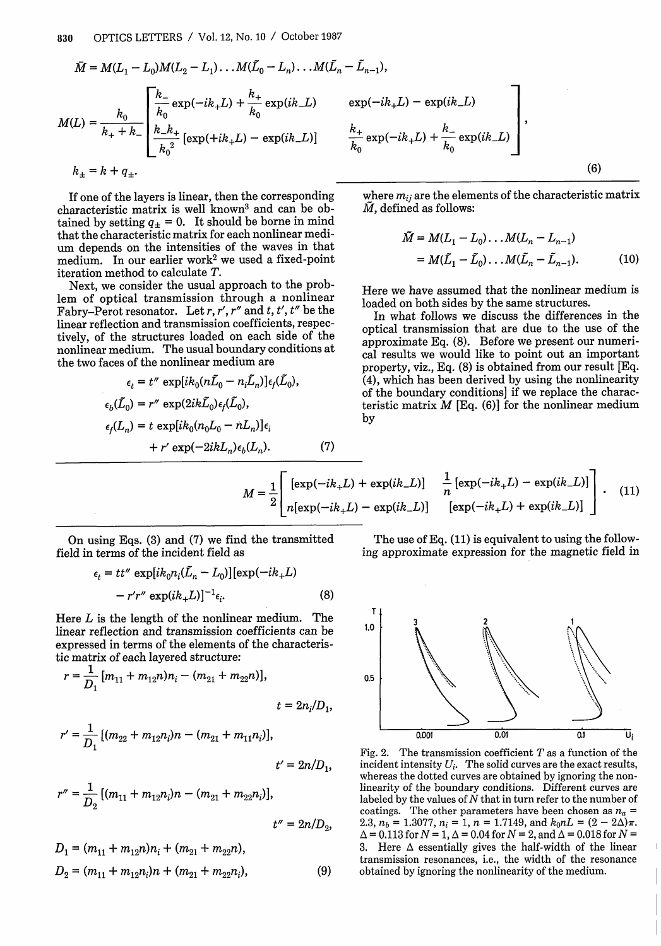$$
\overline{M} = M(L_1 - L_0)M(L_2 - L_1) \dots M(\tilde{L}_0 - L_n) \dots M(\tilde{L}_n - \tilde{L}_{n-1}),
$$
\n
$$
M(L) = \frac{k_0}{k_+ + k_-} \left[ \frac{k_-}{k_0} \exp(-ik_+L) + \frac{k_+}{k_0} \exp(ik_-L) \exp(-ik_+L) - \exp(ik_-L) \right]
$$
\n
$$
k_{\pm} = k + q_{\pm}.
$$
\n(6)

If one of the layers is linear, then the corresponding characteristic matrix is well known<sup>3</sup> and can be obtained by setting  $q_{\pm} = 0$ . It should be borne in mind that the characteristic matrix for each nonlinear medium depends on the intensities of the waves in that medium. In our earlier work<sup>2</sup> we used a fixed-point iteration method to calculate T.

Next, we consider the usual approach to the problem of optical transmission through a nonlinear Fabry-Perot resonator. Let r, r', r'' and t, t', t'' be the linear reflection and transmission coefficients, respectively, of the structures loaded on each side of the nonlinear medium. The usual boundary conditions at the two faces of the nonlinear medium are

$$
\epsilon_t = t'' \exp[i k_0 (n\bar{L}_0 - n_i L_n)] \epsilon_f(L_0),
$$
  
\n
$$
\epsilon_b(\bar{L}_0) = r'' \exp(2ik\bar{L}_0) \epsilon_f(\bar{L}_0),
$$
  
\n
$$
\epsilon_f(L_n) = t \exp[i k_0 (n_0 L_0 - n L_n)] \epsilon_i
$$
  
\n
$$
+ r' \exp(-2ikL_n) \epsilon_b(L_n).
$$
 (7)

$$
k_0 \exp\left(-\frac{ln(1)}{ln(1)}\right)
$$
\n
$$
\left(\frac{6}{2}\right)
$$
\n
$$
\left(\frac{6}{2}\right)
$$
\n
$$
\left(\frac{6}{2}\right)
$$
\n
$$
\left(\frac{6}{2}\right)
$$
\n
$$
\left(\frac{6}{2}\right)
$$
\n
$$
\left(\frac{6}{2}\right)
$$
\n
$$
\left(\frac{6}{2}\right)
$$

where  $m_{ii}$  are the elements of the characteristic matrix *M,* defined as follows:

$$
\tilde{M} = M(L_1 - L_0) \dots M(L_n - L_{n-1})
$$
  
=  $M(\tilde{L}_1 - \tilde{L}_0) \dots M(\tilde{L}_n - \tilde{L}_{n-1}).$  (10)

Here we have assumed that the nonlinear medium is loaded on both sides by the same structures.

In what follows we discuss the differences in the optical transmission that are due to the use of the approximate Eq. (8). Before we present our numerical results we would like to point out an important property, viz., Eq. (8) is obtained from our result [Eq. (4), which has been derived by using the nonlinearity of the boundary conditions] if we replace the characteristic matrix  $M$  [Eq. (6)] for the nonlinear medium by

$$
M = \frac{1}{2} \begin{bmatrix} [\exp(-ik_{+}L) + \exp(ik_{-}L)] & \frac{1}{n} [\exp(-ik_{+}L) - \exp(ik_{-}L)] \\ n[\exp(-ik_{+}L) - \exp(ik_{-}L)] & [\exp(-ik_{+}L) + \exp(ik_{-}L)] \end{bmatrix}.
$$
 (11)

On using Eqs. (3) and (7) we find the transmitted field in terms of the incident field as

$$
\epsilon_t = tt'' \exp[i k_0 n_i (\tilde{L}_n - L_0)] [\exp(-ik_+ L)
$$

$$
-r'r'' \exp(ik_+ L)]^{-1} \epsilon_i.
$$
 (8)

Here L is the length of the nonlinear medium. The linear reflection and transmission coefficients can be expressed in terms of the elements of the characteristic matrix of each layered structure:

$$
r = \frac{1}{D_1} [m_{11} + m_{12}n)n_i - (m_{21} + m_{22}n)],
$$
\n
$$
t = 2n_i/D_1,
$$
\n
$$
r' = \frac{1}{D_1} [(m_{22} + m_{12}n_i)n - (m_{21} + m_{11}n_i)],
$$
\n
$$
t' = 2n/D_1,
$$
\nFig. 10.10  
\n
$$
r'' = \frac{1}{D_2} [(m_{11} + m_{12}n_i)n - (m_{21} + m_{22}n_i)],
$$
\n
$$
t'' = 2n/D_2,
$$
\n2.3, 2.3

$$
r'' = \frac{1}{D_2} [(m_{11} + m_{12}n_i)n - (m_{21} + m_{22}n_i)],
$$
  
\n
$$
t'' = 2n/D_2,
$$
  
\n
$$
D_1 = (m_{11} + m_{12}n)n_i + (m_{21} + m_{22}n),
$$
  
\n
$$
D_2 = (m_{11} + m_{12}n_i)n + (m_{21} + m_{22}n_i),
$$
  
\n(9)

The use of Eq. (11) is equivalent to using the following approximate expression for the magnetic field in



Fig. 2. The transmission coefficient  $T$  as a function of the incident intensity  $U_i$ . The solid curves are the exact results, whereas the dotted curves are obtained by ignoring the nonlinearity of the boundary conditions. Different curves are labeled by the values of  $N$  that in turn refer to the number of coatings. The other parameters have been chosen as  $n_a$  =  $2.3, n_b = 1.3077, n_i = 1, n = 1.7149$ , and  $k_0 n = (2 - 2\Delta)\pi$ .  $\Delta = 0.113$  for  $N = 1$ ,  $\Delta = 0.04$  for  $N = 2$ , and  $\Delta = 0.018$  for  $N =$ 3. Here  $\Delta$  essentially gives the half-width of the linear transmission resonances, i.e., the width of the resonance obtained by ignoring the nonlinearity of the medium.